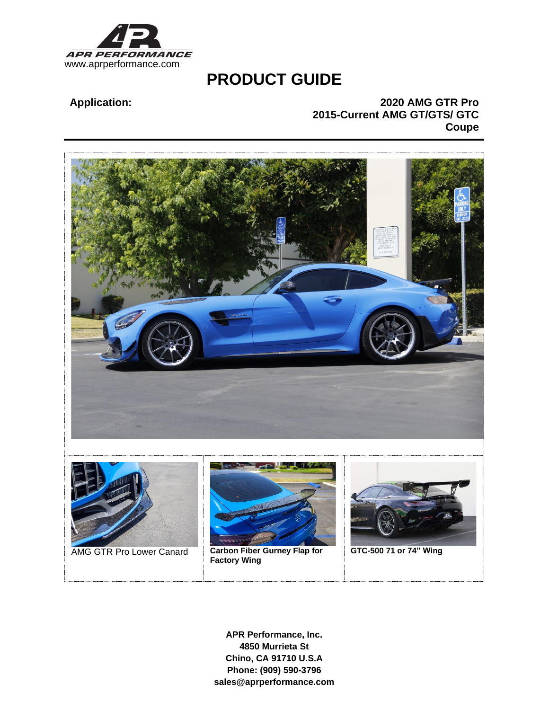

# **PRODUCT GUIDE**

## **Application: 2020 AMG GTR Pro 2015-Current AMG GT/GTS/ GTC Coupe**



**APR Performance, Inc. 4850 Murrieta St Chino, CA 91710 U.S.A Phone: (909) 590-3796 sales@aprperformance.com**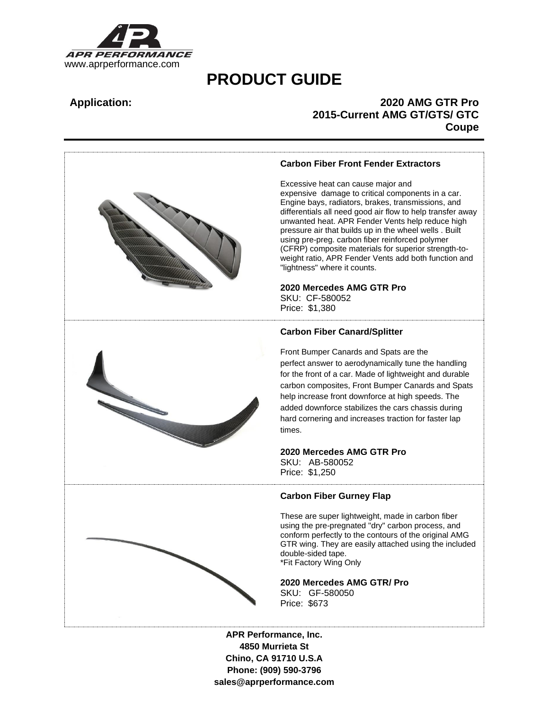

# **PRODUCT GUIDE**

## **Application: 2020 AMG GTR Pro 2015-Current AMG GT/GTS/ GTC Coupe**



**4850 Murrieta St Chino, CA 91710 U.S.A Phone: (909) 590-3796 sales@aprperformance.com**